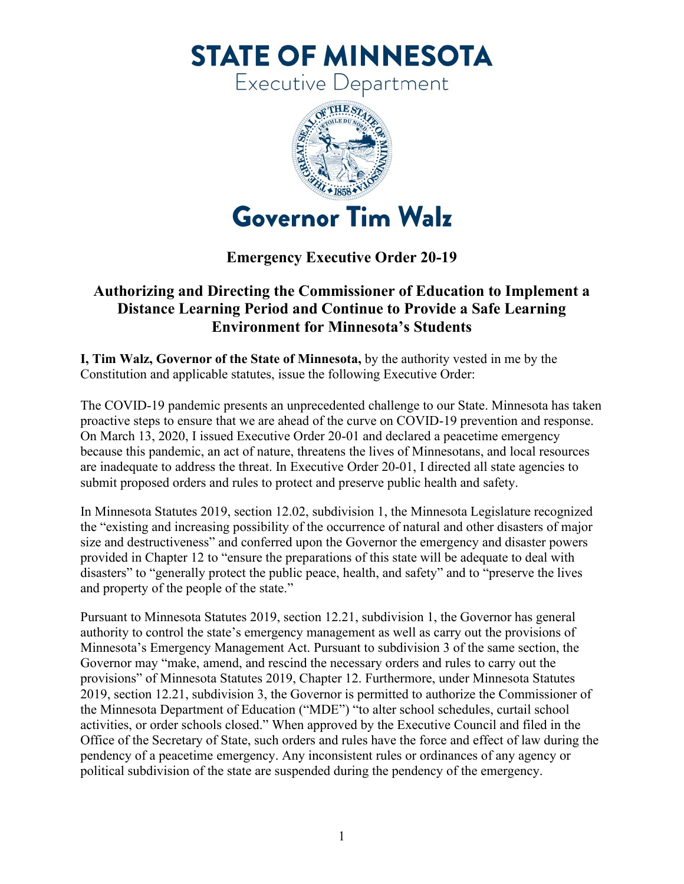**STATE OF MINNESOTA** 

Executive Department



## **Emergency Executive Order 20-19**

## **Authorizing and Directing the Commissioner of Education to Implement a Distance Learning Period and Continue to Provide a Safe Learning Environment for Minnesota's Students**

**I, Tim Walz, Governor of the State of Minnesota,** by the authority vested in me by the Constitution and applicable statutes, issue the following Executive Order:

The COVID-19 pandemic presents an unprecedented challenge to our State. Minnesota has taken proactive steps to ensure that we are ahead of the curve on COVID-19 prevention and response. On March 13, 2020, I issued Executive Order 20-01 and declared a peacetime emergency because this pandemic, an act of nature, threatens the lives of Minnesotans, and local resources are inadequate to address the threat. In Executive Order 20-01, I directed all state agencies to submit proposed orders and rules to protect and preserve public health and safety.

In Minnesota Statutes 2019, section 12.02, subdivision 1, the Minnesota Legislature recognized the "existing and increasing possibility of the occurrence of natural and other disasters of major size and destructiveness" and conferred upon the Governor the emergency and disaster powers provided in Chapter 12 to "ensure the preparations of this state will be adequate to deal with disasters" to "generally protect the public peace, health, and safety" and to "preserve the lives and property of the people of the state."

Pursuant to Minnesota Statutes 2019, section 12.21, subdivision 1, the Governor has general authority to control the state's emergency management as well as carry out the provisions of Minnesota's Emergency Management Act. Pursuant to subdivision 3 of the same section, the Governor may "make, amend, and rescind the necessary orders and rules to carry out the provisions" of Minnesota Statutes 2019, Chapter 12. Furthermore, under Minnesota Statutes 2019, section 12.21, subdivision 3, the Governor is permitted to authorize the Commissioner of the Minnesota Department of Education ("MDE") "to alter school schedules, curtail school activities, or order schools closed." When approved by the Executive Council and filed in the Office of the Secretary of State, such orders and rules have the force and effect of law during the pendency of a peacetime emergency. Any inconsistent rules or ordinances of any agency or political subdivision of the state are suspended during the pendency of the emergency.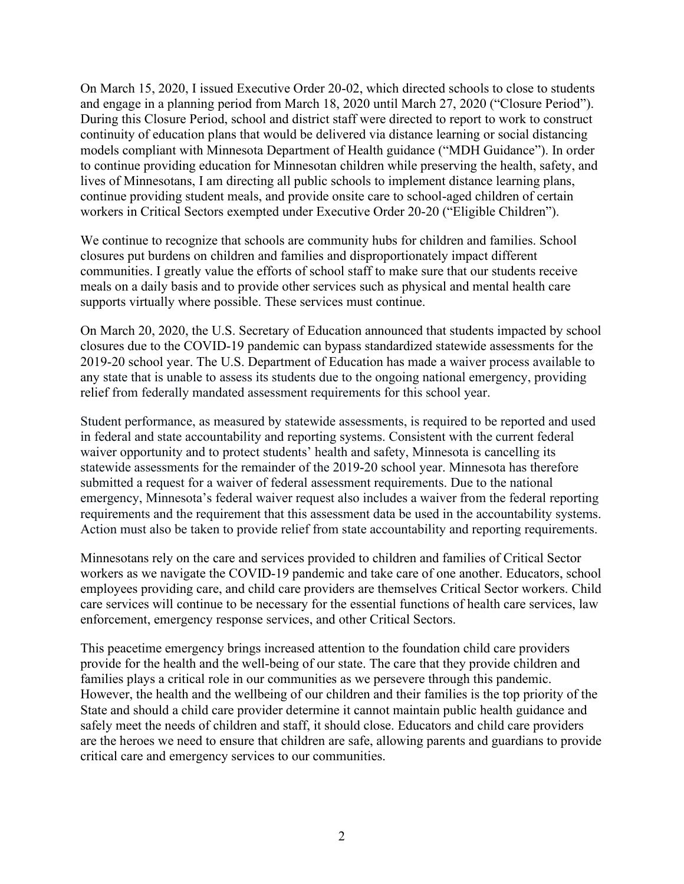On March 15, 2020, I issued Executive Order 20-02, which directed schools to close to students and engage in a planning period from March 18, 2020 until March 27, 2020 ("Closure Period"). During this Closure Period, school and district staff were directed to report to work to construct continuity of education plans that would be delivered via distance learning or social distancing models compliant with Minnesota Department of Health guidance ("MDH Guidance"). In order to continue providing education for Minnesotan children while preserving the health, safety, and lives of Minnesotans, I am directing all public schools to implement distance learning plans, continue providing student meals, and provide onsite care to school-aged children of certain workers in Critical Sectors exempted under Executive Order 20-20 ("Eligible Children").

We continue to recognize that schools are community hubs for children and families. School closures put burdens on children and families and disproportionately impact different communities. I greatly value the efforts of school staff to make sure that our students receive meals on a daily basis and to provide other services such as physical and mental health care supports virtually where possible. These services must continue.

On March 20, 2020, the U.S. Secretary of Education announced that students impacted by school closures due to the COVID-19 pandemic can bypass standardized statewide assessments for the 2019-20 school year. The U.S. Department of Education has made a waiver process available to any state that is unable to assess its students due to the ongoing national emergency, providing relief from federally mandated assessment requirements for this school year.

Student performance, as measured by statewide assessments, is required to be reported and used in federal and state accountability and reporting systems. Consistent with the current federal waiver opportunity and to protect students' health and safety, Minnesota is cancelling its statewide assessments for the remainder of the 2019-20 school year. Minnesota has therefore submitted a request for a waiver of federal assessment requirements. Due to the national emergency, Minnesota's federal waiver request also includes a waiver from the federal reporting requirements and the requirement that this assessment data be used in the accountability systems. Action must also be taken to provide relief from state accountability and reporting requirements.

Minnesotans rely on the care and services provided to children and families of Critical Sector workers as we navigate the COVID-19 pandemic and take care of one another. Educators, school employees providing care, and child care providers are themselves Critical Sector workers. Child care services will continue to be necessary for the essential functions of health care services, law enforcement, emergency response services, and other Critical Sectors.

This peacetime emergency brings increased attention to the foundation child care providers provide for the health and the well-being of our state. The care that they provide children and families plays a critical role in our communities as we persevere through this pandemic. However, the health and the wellbeing of our children and their families is the top priority of the State and should a child care provider determine it cannot maintain public health guidance and safely meet the needs of children and staff, it should close. Educators and child care providers are the heroes we need to ensure that children are safe, allowing parents and guardians to provide critical care and emergency services to our communities.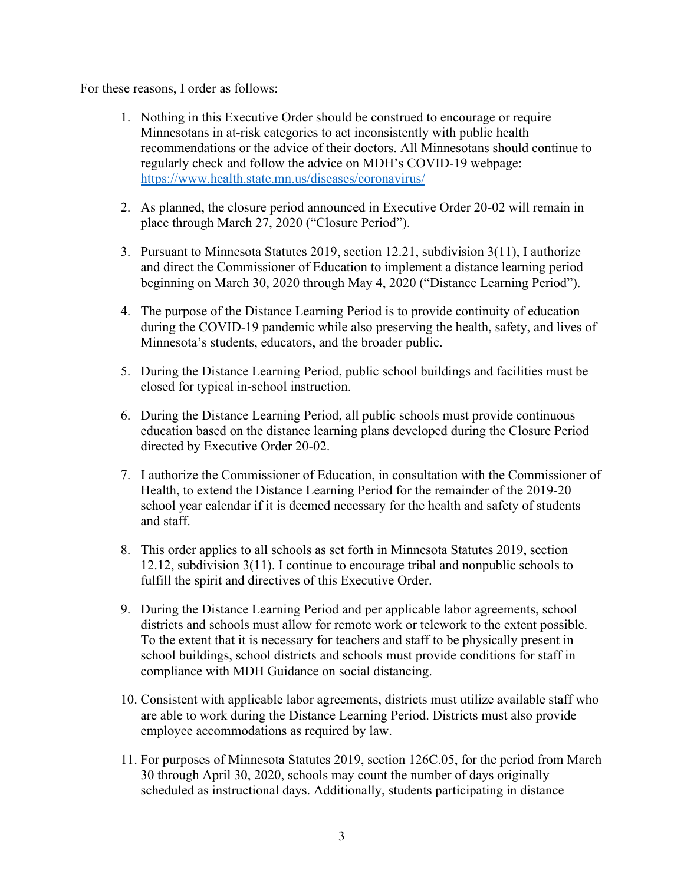For these reasons, I order as follows:

- 1. Nothing in this Executive Order should be construed to encourage or require Minnesotans in at-risk categories to act inconsistently with public health recommendations or the advice of their doctors. All Minnesotans should continue to regularly check and follow the advice on MDH's COVID-19 webpage: <https://www.health.state.mn.us/diseases/coronavirus/>
- 2. As planned, the closure period announced in Executive Order 20-02 will remain in place through March 27, 2020 ("Closure Period").
- 3. Pursuant to Minnesota Statutes 2019, section 12.21, subdivision 3(11), I authorize and direct the Commissioner of Education to implement a distance learning period beginning on March 30, 2020 through May 4, 2020 ("Distance Learning Period").
- 4. The purpose of the Distance Learning Period is to provide continuity of education during the COVID-19 pandemic while also preserving the health, safety, and lives of Minnesota's students, educators, and the broader public.
- 5. During the Distance Learning Period, public school buildings and facilities must be closed for typical in-school instruction.
- 6. During the Distance Learning Period, all public schools must provide continuous education based on the distance learning plans developed during the Closure Period directed by Executive Order 20-02.
- 7. I authorize the Commissioner of Education, in consultation with the Commissioner of Health, to extend the Distance Learning Period for the remainder of the 2019-20 school year calendar if it is deemed necessary for the health and safety of students and staff.
- 8. This order applies to all schools as set forth in Minnesota Statutes 2019, section 12.12, subdivision 3(11). I continue to encourage tribal and nonpublic schools to fulfill the spirit and directives of this Executive Order.
- 9. During the Distance Learning Period and per applicable labor agreements, school districts and schools must allow for remote work or telework to the extent possible. To the extent that it is necessary for teachers and staff to be physically present in school buildings, school districts and schools must provide conditions for staff in compliance with MDH Guidance on social distancing.
- 10. Consistent with applicable labor agreements, districts must utilize available staff who are able to work during the Distance Learning Period. Districts must also provide employee accommodations as required by law.
- 11. For purposes of Minnesota Statutes 2019, section 126C.05, for the period from March 30 through April 30, 2020, schools may count the number of days originally scheduled as instructional days. Additionally, students participating in distance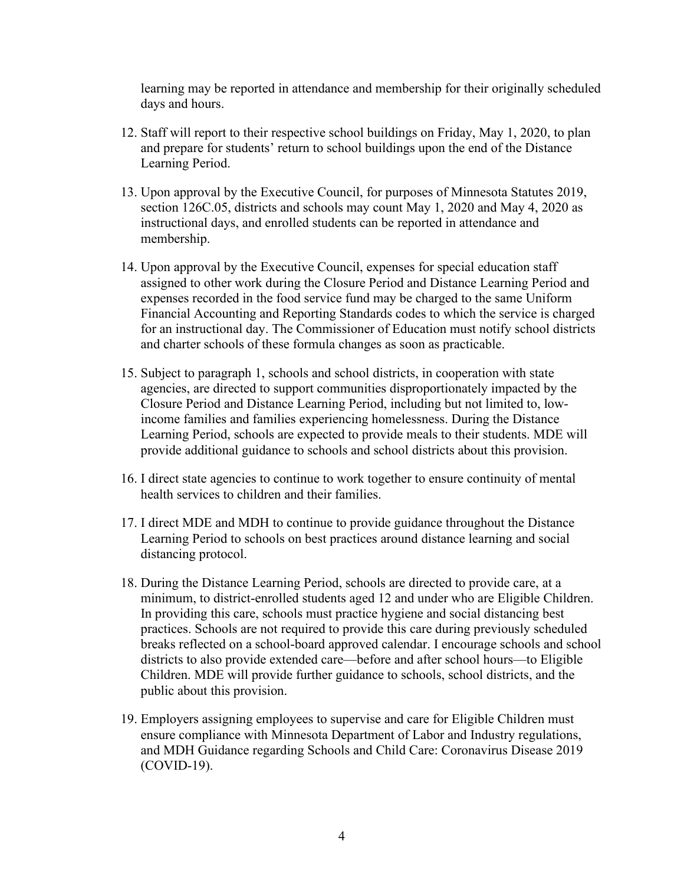learning may be reported in attendance and membership for their originally scheduled days and hours.

- 12. Staff will report to their respective school buildings on Friday, May 1, 2020, to plan and prepare for students' return to school buildings upon the end of the Distance Learning Period.
- 13. Upon approval by the Executive Council, for purposes of Minnesota Statutes 2019, section 126C.05, districts and schools may count May 1, 2020 and May 4, 2020 as instructional days, and enrolled students can be reported in attendance and membership.
- 14. Upon approval by the Executive Council, expenses for special education staff assigned to other work during the Closure Period and Distance Learning Period and expenses recorded in the food service fund may be charged to the same Uniform Financial Accounting and Reporting Standards codes to which the service is charged for an instructional day. The Commissioner of Education must notify school districts and charter schools of these formula changes as soon as practicable.
- 15. Subject to paragraph 1, schools and school districts, in cooperation with state agencies, are directed to support communities disproportionately impacted by the Closure Period and Distance Learning Period, including but not limited to, lowincome families and families experiencing homelessness. During the Distance Learning Period, schools are expected to provide meals to their students. MDE will provide additional guidance to schools and school districts about this provision.
- 16. I direct state agencies to continue to work together to ensure continuity of mental health services to children and their families.
- 17. I direct MDE and MDH to continue to provide guidance throughout the Distance Learning Period to schools on best practices around distance learning and social distancing protocol.
- 18. During the Distance Learning Period, schools are directed to provide care, at a minimum, to district-enrolled students aged 12 and under who are Eligible Children. In providing this care, schools must practice hygiene and social distancing best practices. Schools are not required to provide this care during previously scheduled breaks reflected on a school-board approved calendar. I encourage schools and school districts to also provide extended care—before and after school hours—to Eligible Children. MDE will provide further guidance to schools, school districts, and the public about this provision.
- 19. Employers assigning employees to supervise and care for Eligible Children must ensure compliance with Minnesota Department of Labor and Industry regulations, and MDH Guidance regarding Schools and Child Care: Coronavirus Disease 2019 (COVID-19).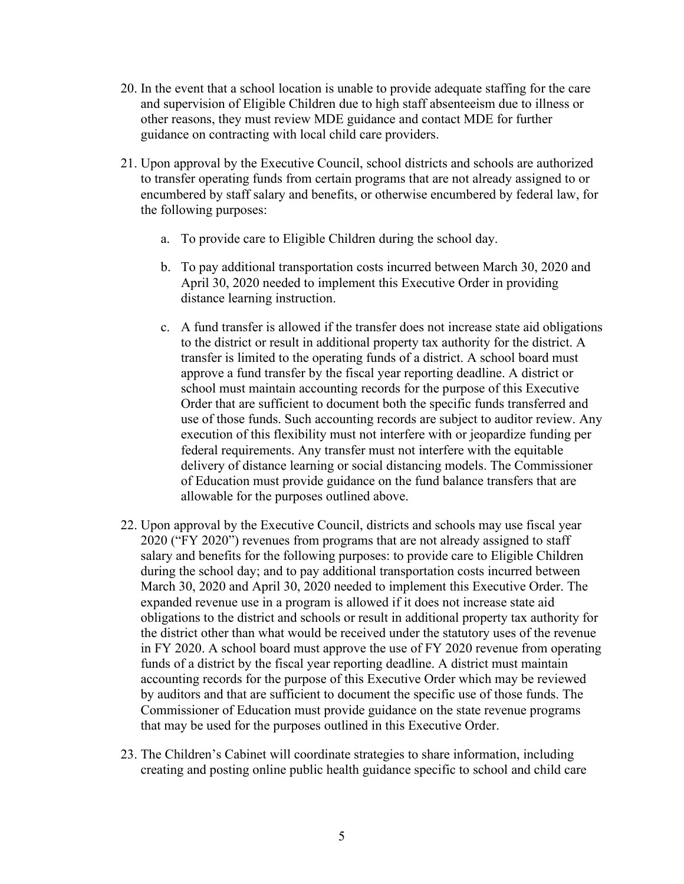- 20. In the event that a school location is unable to provide adequate staffing for the care and supervision of Eligible Children due to high staff absenteeism due to illness or other reasons, they must review MDE guidance and contact MDE for further guidance on contracting with local child care providers.
- 21. Upon approval by the Executive Council, school districts and schools are authorized to transfer operating funds from certain programs that are not already assigned to or encumbered by staff salary and benefits, or otherwise encumbered by federal law, for the following purposes:
	- a. To provide care to Eligible Children during the school day.
	- b. To pay additional transportation costs incurred between March 30, 2020 and April 30, 2020 needed to implement this Executive Order in providing distance learning instruction.
	- c. A fund transfer is allowed if the transfer does not increase state aid obligations to the district or result in additional property tax authority for the district. A transfer is limited to the operating funds of a district. A school board must approve a fund transfer by the fiscal year reporting deadline. A district or school must maintain accounting records for the purpose of this Executive Order that are sufficient to document both the specific funds transferred and use of those funds. Such accounting records are subject to auditor review. Any execution of this flexibility must not interfere with or jeopardize funding per federal requirements. Any transfer must not interfere with the equitable delivery of distance learning or social distancing models. The Commissioner of Education must provide guidance on the fund balance transfers that are allowable for the purposes outlined above.
- 22. Upon approval by the Executive Council, districts and schools may use fiscal year 2020 ("FY 2020") revenues from programs that are not already assigned to staff salary and benefits for the following purposes: to provide care to Eligible Children during the school day; and to pay additional transportation costs incurred between March 30, 2020 and April 30, 2020 needed to implement this Executive Order. The expanded revenue use in a program is allowed if it does not increase state aid obligations to the district and schools or result in additional property tax authority for the district other than what would be received under the statutory uses of the revenue in FY 2020. A school board must approve the use of FY 2020 revenue from operating funds of a district by the fiscal year reporting deadline. A district must maintain accounting records for the purpose of this Executive Order which may be reviewed by auditors and that are sufficient to document the specific use of those funds. The Commissioner of Education must provide guidance on the state revenue programs that may be used for the purposes outlined in this Executive Order.
- 23. The Children's Cabinet will coordinate strategies to share information, including creating and posting online public health guidance specific to school and child care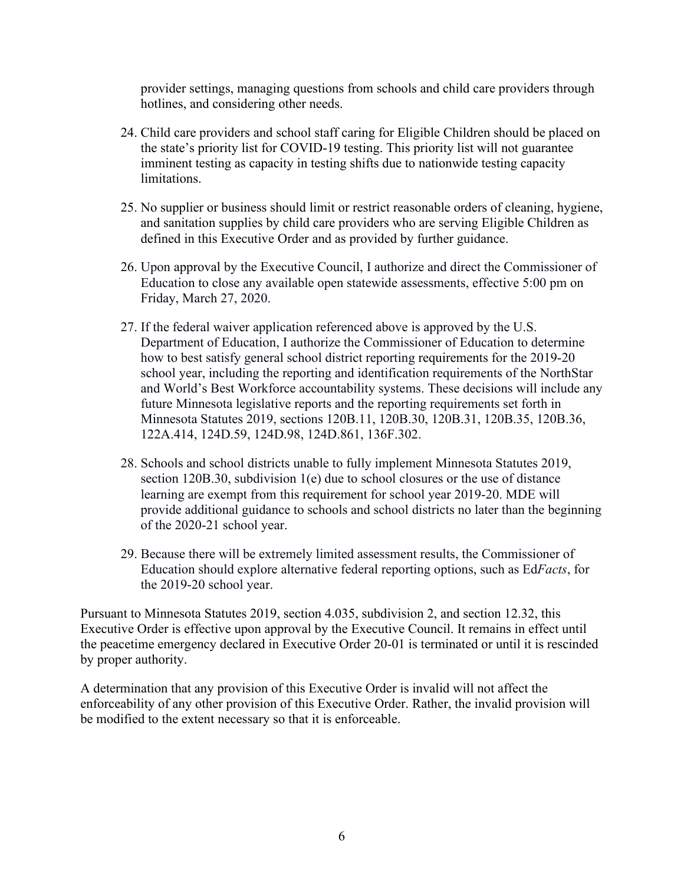provider settings, managing questions from schools and child care providers through hotlines, and considering other needs.

- 24. Child care providers and school staff caring for Eligible Children should be placed on the state's priority list for COVID-19 testing. This priority list will not guarantee imminent testing as capacity in testing shifts due to nationwide testing capacity limitations.
- 25. No supplier or business should limit or restrict reasonable orders of cleaning, hygiene, and sanitation supplies by child care providers who are serving Eligible Children as defined in this Executive Order and as provided by further guidance.
- 26. Upon approval by the Executive Council, I authorize and direct the Commissioner of Education to close any available open statewide assessments, effective 5:00 pm on Friday, March 27, 2020.
- 27. If the federal waiver application referenced above is approved by the U.S. Department of Education, I authorize the Commissioner of Education to determine how to best satisfy general school district reporting requirements for the 2019-20 school year, including the reporting and identification requirements of the NorthStar and World's Best Workforce accountability systems. These decisions will include any future Minnesota legislative reports and the reporting requirements set forth in Minnesota Statutes 2019, sections 120B.11, 120B.30, 120B.31, 120B.35, 120B.36, 122A.414, 124D.59, 124D.98, 124D.861, 136F.302.
- 28. Schools and school districts unable to fully implement Minnesota Statutes 2019, section 120B.30, subdivision 1(e) due to school closures or the use of distance learning are exempt from this requirement for school year 2019-20. MDE will provide additional guidance to schools and school districts no later than the beginning of the 2020-21 school year.
- 29. Because there will be extremely limited assessment results, the Commissioner of Education should explore alternative federal reporting options, such as Ed*Facts*, for the 2019-20 school year.

Pursuant to Minnesota Statutes 2019, section 4.035, subdivision 2, and section 12.32, this Executive Order is effective upon approval by the Executive Council. It remains in effect until the peacetime emergency declared in Executive Order 20-01 is terminated or until it is rescinded by proper authority.

A determination that any provision of this Executive Order is invalid will not affect the enforceability of any other provision of this Executive Order. Rather, the invalid provision will be modified to the extent necessary so that it is enforceable.